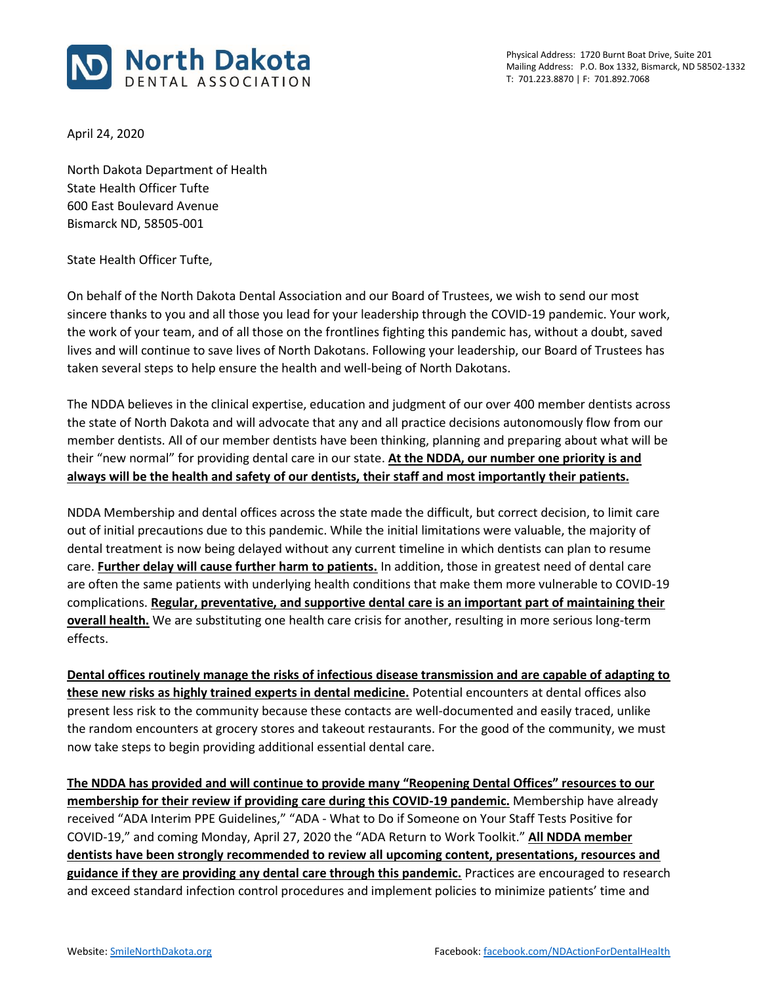

April 24, 2020

North Dakota Department of Health State Health Officer Tufte 600 East Boulevard Avenue Bismarck ND, 58505-001

## State Health Officer Tufte,

On behalf of the North Dakota Dental Association and our Board of Trustees, we wish to send our most sincere thanks to you and all those you lead for your leadership through the COVID-19 pandemic. Your work, the work of your team, and of all those on the frontlines fighting this pandemic has, without a doubt, saved lives and will continue to save lives of North Dakotans. Following your leadership, our Board of Trustees has taken several steps to help ensure the health and well-being of North Dakotans.

The NDDA believes in the clinical expertise, education and judgment of our over 400 member dentists across the state of North Dakota and will advocate that any and all practice decisions autonomously flow from our member dentists. All of our member dentists have been thinking, planning and preparing about what will be their "new normal" for providing dental care in our state. **At the NDDA, our number one priority is and always will be the health and safety of our dentists, their staff and most importantly their patients.**

NDDA Membership and dental offices across the state made the difficult, but correct decision, to limit care out of initial precautions due to this pandemic. While the initial limitations were valuable, the majority of dental treatment is now being delayed without any current timeline in which dentists can plan to resume care. **Further delay will cause further harm to patients.** In addition, those in greatest need of dental care are often the same patients with underlying health conditions that make them more vulnerable to COVID-19 complications. **Regular, preventative, and supportive dental care is an important part of maintaining their overall health.** We are substituting one health care crisis for another, resulting in more serious long-term effects.

**Dental offices routinely manage the risks of infectious disease transmission and are capable of adapting to these new risks as highly trained experts in dental medicine.** Potential encounters at dental offices also present less risk to the community because these contacts are well-documented and easily traced, unlike the random encounters at grocery stores and takeout restaurants. For the good of the community, we must now take steps to begin providing additional essential dental care.

**The NDDA has provided and will continue to provide many "Reopening Dental Offices" resources to our membership for their review if providing care during this COVID-19 pandemic.** Membership have already received "ADA Interim PPE Guidelines," "ADA - What to Do if Someone on Your Staff Tests Positive for COVID-19," and coming Monday, April 27, 2020 the "ADA Return to Work Toolkit." **All NDDA member dentists have been strongly recommended to review all upcoming content, presentations, resources and guidance if they are providing any dental care through this pandemic.** Practices are encouraged to research and exceed standard infection control procedures and implement policies to minimize patients' time and